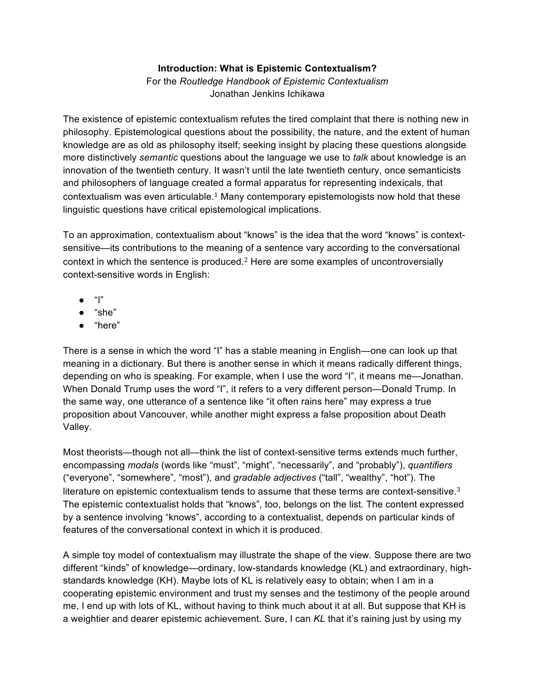#### **Introduction: What is Epistemic Contextualism?**

For the *Routledge Handbook of Epistemic Contextualism* Jonathan Jenkins Ichikawa

The existence of epistemic contextualism refutes the tired complaint that there is nothing new in philosophy. Epistemological questions about the possibility, the nature, and the extent of human knowledge are as old as philosophy itself; seeking insight by placing these questions alongside more distinctively *semantic* questions about the language we use to *talk* about knowledge is an innovation of the twentieth century. It wasn't until the late twentieth century, once semanticists and philosophers of language created a formal apparatus for representing indexicals, that contextualism was even articulable.<sup>1</sup> Many contemporary epistemologists now hold that these linguistic questions have critical epistemological implications.

To an approximation, contextualism about "knows" is the idea that the word "knows" is contextsensitive—its contributions to the meaning of a sentence vary according to the conversational context in which the sentence is produced.<sup>2</sup> Here are some examples of uncontroversially context-sensitive words in English:

- "I"
- $\bullet$  "she"
- "here"

There is a sense in which the word "I" has a stable meaning in English—one can look up that meaning in a dictionary. But there is another sense in which it means radically different things, depending on who is speaking. For example, when I use the word "I", it means me—Jonathan. When Donald Trump uses the word "I", it refers to a very different person—Donald Trump. In the same way, one utterance of a sentence like "it often rains here" may express a true proposition about Vancouver, while another might express a false proposition about Death Valley.

Most theorists—though not all—think the list of context-sensitive terms extends much further, encompassing *modals* (words like "must", "might", "necessarily", and "probably"), *quantifiers* ("everyone", "somewhere", "most"), and *gradable adjectives* ("tall", "wealthy", "hot"). The literature on epistemic contextualism tends to assume that these terms are context-sensitive.<sup>3</sup> The epistemic contextualist holds that "knows", too, belongs on the list. The content expressed by a sentence involving "knows", according to a contextualist, depends on particular kinds of features of the conversational context in which it is produced.

A simple toy model of contextualism may illustrate the shape of the view. Suppose there are two different "kinds" of knowledge—ordinary, low-standards knowledge (KL) and extraordinary, highstandards knowledge (KH). Maybe lots of KL is relatively easy to obtain; when I am in a cooperating epistemic environment and trust my senses and the testimony of the people around me, I end up with lots of KL, without having to think much about it at all. But suppose that KH is a weightier and dearer epistemic achievement. Sure, I can *KL* that it's raining just by using my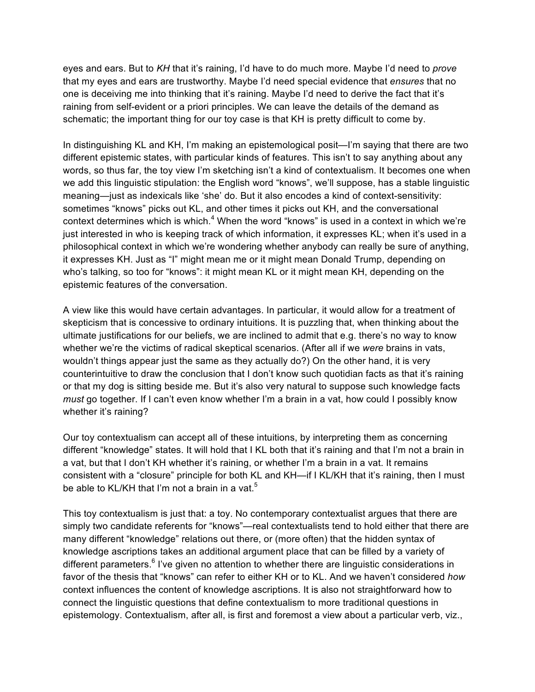eyes and ears. But to *KH* that it's raining, I'd have to do much more. Maybe I'd need to *prove*  that my eyes and ears are trustworthy. Maybe I'd need special evidence that *ensures* that no one is deceiving me into thinking that it's raining. Maybe I'd need to derive the fact that it's raining from self-evident or a priori principles. We can leave the details of the demand as schematic; the important thing for our toy case is that KH is pretty difficult to come by.

In distinguishing KL and KH, I'm making an epistemological posit—I'm saying that there are two different epistemic states, with particular kinds of features. This isn't to say anything about any words, so thus far, the toy view I'm sketching isn't a kind of contextualism. It becomes one when we add this linguistic stipulation: the English word "knows", we'll suppose, has a stable linguistic meaning—just as indexicals like 'she' do. But it also encodes a kind of context-sensitivity: sometimes "knows" picks out KL, and other times it picks out KH, and the conversational context determines which is which. $4$  When the word "knows" is used in a context in which we're just interested in who is keeping track of which information, it expresses KL; when it's used in a philosophical context in which we're wondering whether anybody can really be sure of anything, it expresses KH. Just as "I" might mean me or it might mean Donald Trump, depending on who's talking, so too for "knows": it might mean KL or it might mean KH, depending on the epistemic features of the conversation.

A view like this would have certain advantages. In particular, it would allow for a treatment of skepticism that is concessive to ordinary intuitions. It is puzzling that, when thinking about the ultimate justifications for our beliefs, we are inclined to admit that e.g. there's no way to know whether we're the victims of radical skeptical scenarios. (After all if we *were* brains in vats, wouldn't things appear just the same as they actually do?) On the other hand, it is very counterintuitive to draw the conclusion that I don't know such quotidian facts as that it's raining or that my dog is sitting beside me. But it's also very natural to suppose such knowledge facts *must* go together. If I can't even know whether I'm a brain in a vat, how could I possibly know whether it's raining?

Our toy contextualism can accept all of these intuitions, by interpreting them as concerning different "knowledge" states. It will hold that I KL both that it's raining and that I'm not a brain in a vat, but that I don't KH whether it's raining, or whether I'm a brain in a vat. It remains consistent with a "closure" principle for both KL and KH—if I KL/KH that it's raining, then I must be able to KL/KH that I'm not a brain in a vat.<sup>5</sup>

This toy contextualism is just that: a toy. No contemporary contextualist argues that there are simply two candidate referents for "knows"—real contextualists tend to hold either that there are many different "knowledge" relations out there, or (more often) that the hidden syntax of knowledge ascriptions takes an additional argument place that can be filled by a variety of different parameters. $6$  I've given no attention to whether there are linguistic considerations in favor of the thesis that "knows" can refer to either KH or to KL. And we haven't considered *how* context influences the content of knowledge ascriptions. It is also not straightforward how to connect the linguistic questions that define contextualism to more traditional questions in epistemology. Contextualism, after all, is first and foremost a view about a particular verb, viz.,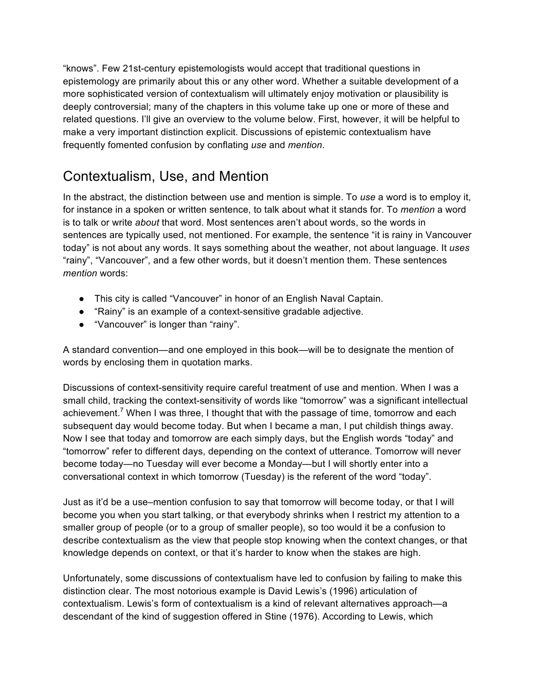"knows". Few 21st-century epistemologists would accept that traditional questions in epistemology are primarily about this or any other word. Whether a suitable development of a more sophisticated version of contextualism will ultimately enjoy motivation or plausibility is deeply controversial; many of the chapters in this volume take up one or more of these and related questions. I'll give an overview to the volume below. First, however, it will be helpful to make a very important distinction explicit. Discussions of epistemic contextualism have frequently fomented confusion by conflating *use* and *mention*.

# Contextualism, Use, and Mention

In the abstract, the distinction between use and mention is simple. To *use* a word is to employ it, for instance in a spoken or written sentence, to talk about what it stands for. To *mention* a word is to talk or write *about* that word. Most sentences aren't about words, so the words in sentences are typically used, not mentioned. For example, the sentence "it is rainy in Vancouver today" is not about any words. It says something about the weather, not about language. It *uses*  "rainy", "Vancouver", and a few other words, but it doesn't mention them. These sentences *mention* words:

- This city is called "Vancouver" in honor of an English Naval Captain.
- "Rainy" is an example of a context-sensitive gradable adjective.
- "Vancouver" is longer than "rainy".

A standard convention—and one employed in this book—will be to designate the mention of words by enclosing them in quotation marks.

Discussions of context-sensitivity require careful treatment of use and mention. When I was a small child, tracking the context-sensitivity of words like "tomorrow" was a significant intellectual achievement.<sup>7</sup> When I was three, I thought that with the passage of time, tomorrow and each subsequent day would become today. But when I became a man, I put childish things away. Now I see that today and tomorrow are each simply days, but the English words "today" and "tomorrow" refer to different days, depending on the context of utterance. Tomorrow will never become today—no Tuesday will ever become a Monday—but I will shortly enter into a conversational context in which tomorrow (Tuesday) is the referent of the word "today".

Just as it'd be a use–mention confusion to say that tomorrow will become today, or that I will become you when you start talking, or that everybody shrinks when I restrict my attention to a smaller group of people (or to a group of smaller people), so too would it be a confusion to describe contextualism as the view that people stop knowing when the context changes, or that knowledge depends on context, or that it's harder to know when the stakes are high.

Unfortunately, some discussions of contextualism have led to confusion by failing to make this distinction clear. The most notorious example is David Lewis's (1996) articulation of contextualism. Lewis's form of contextualism is a kind of relevant alternatives approach—a descendant of the kind of suggestion offered in Stine (1976). According to Lewis, which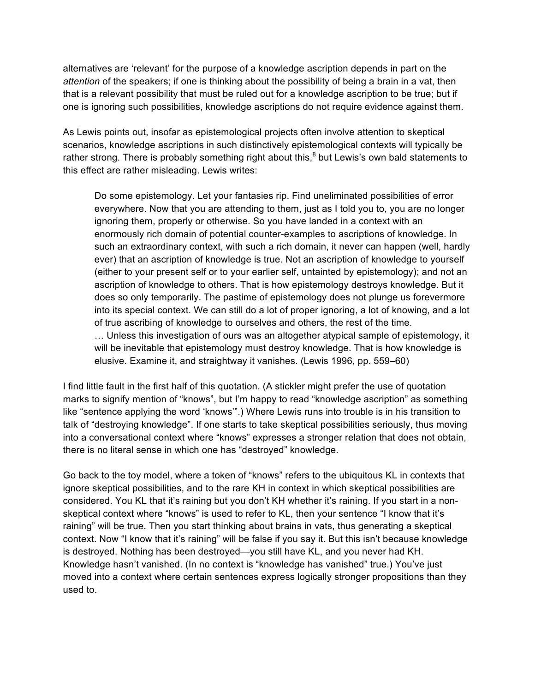alternatives are 'relevant' for the purpose of a knowledge ascription depends in part on the *attention* of the speakers; if one is thinking about the possibility of being a brain in a vat, then that is a relevant possibility that must be ruled out for a knowledge ascription to be true; but if one is ignoring such possibilities, knowledge ascriptions do not require evidence against them.

As Lewis points out, insofar as epistemological projects often involve attention to skeptical scenarios, knowledge ascriptions in such distinctively epistemological contexts will typically be rather strong. There is probably something right about this, $8$  but Lewis's own bald statements to this effect are rather misleading. Lewis writes:

Do some epistemology. Let your fantasies rip. Find uneliminated possibilities of error everywhere. Now that you are attending to them, just as I told you to, you are no longer ignoring them, properly or otherwise. So you have landed in a context with an enormously rich domain of potential counter-examples to ascriptions of knowledge. In such an extraordinary context, with such a rich domain, it never can happen (well, hardly ever) that an ascription of knowledge is true. Not an ascription of knowledge to yourself (either to your present self or to your earlier self, untainted by epistemology); and not an ascription of knowledge to others. That is how epistemology destroys knowledge. But it does so only temporarily. The pastime of epistemology does not plunge us forevermore into its special context. We can still do a lot of proper ignoring, a lot of knowing, and a lot of true ascribing of knowledge to ourselves and others, the rest of the time. … Unless this investigation of ours was an altogether atypical sample of epistemology, it

will be inevitable that epistemology must destroy knowledge. That is how knowledge is elusive. Examine it, and straightway it vanishes. (Lewis 1996, pp. 559–60)

I find little fault in the first half of this quotation. (A stickler might prefer the use of quotation marks to signify mention of "knows", but I'm happy to read "knowledge ascription" as something like "sentence applying the word 'knows'".) Where Lewis runs into trouble is in his transition to talk of "destroying knowledge". If one starts to take skeptical possibilities seriously, thus moving into a conversational context where "knows" expresses a stronger relation that does not obtain, there is no literal sense in which one has "destroyed" knowledge.

Go back to the toy model, where a token of "knows" refers to the ubiquitous KL in contexts that ignore skeptical possibilities, and to the rare KH in context in which skeptical possibilities are considered. You KL that it's raining but you don't KH whether it's raining. If you start in a nonskeptical context where "knows" is used to refer to KL, then your sentence "I know that it's raining" will be true. Then you start thinking about brains in vats, thus generating a skeptical context. Now "I know that it's raining" will be false if you say it. But this isn't because knowledge is destroyed. Nothing has been destroyed—you still have KL, and you never had KH. Knowledge hasn't vanished. (In no context is "knowledge has vanished" true.) You've just moved into a context where certain sentences express logically stronger propositions than they used to.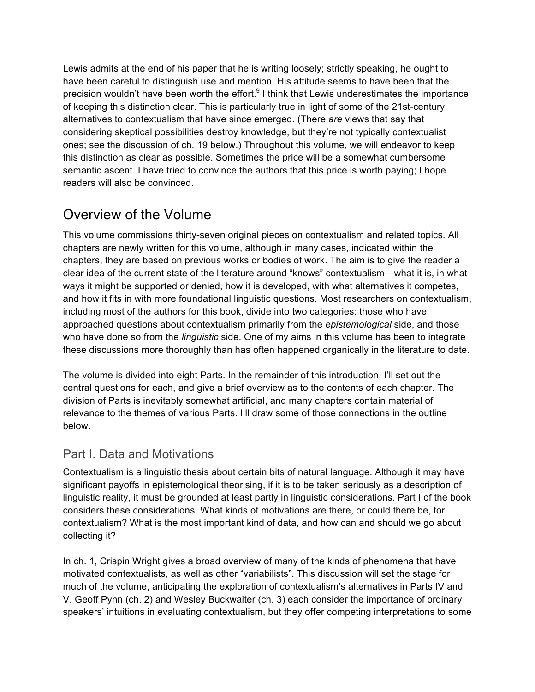Lewis admits at the end of his paper that he is writing loosely; strictly speaking, he ought to have been careful to distinguish use and mention. His attitude seems to have been that the precision wouldn't have been worth the effort. $9$  I think that Lewis underestimates the importance of keeping this distinction clear. This is particularly true in light of some of the 21st-century alternatives to contextualism that have since emerged. (There *are* views that say that considering skeptical possibilities destroy knowledge, but they're not typically contextualist ones; see the discussion of ch. 19 below.) Throughout this volume, we will endeavor to keep this distinction as clear as possible. Sometimes the price will be a somewhat cumbersome semantic ascent. I have tried to convince the authors that this price is worth paying; I hope readers will also be convinced.

# Overview of the Volume

This volume commissions thirty-seven original pieces on contextualism and related topics. All chapters are newly written for this volume, although in many cases, indicated within the chapters, they are based on previous works or bodies of work. The aim is to give the reader a clear idea of the current state of the literature around "knows" contextualism—what it is, in what ways it might be supported or denied, how it is developed, with what alternatives it competes, and how it fits in with more foundational linguistic questions. Most researchers on contextualism, including most of the authors for this book, divide into two categories: those who have approached questions about contextualism primarily from the *epistemological* side, and those who have done so from the *linguistic* side. One of my aims in this volume has been to integrate these discussions more thoroughly than has often happened organically in the literature to date.

The volume is divided into eight Parts. In the remainder of this introduction, I'll set out the central questions for each, and give a brief overview as to the contents of each chapter. The division of Parts is inevitably somewhat artificial, and many chapters contain material of relevance to the themes of various Parts. I'll draw some of those connections in the outline below.

### Part I. Data and Motivations

Contextualism is a linguistic thesis about certain bits of natural language. Although it may have significant payoffs in epistemological theorising, if it is to be taken seriously as a description of linguistic reality, it must be grounded at least partly in linguistic considerations. Part I of the book considers these considerations. What kinds of motivations are there, or could there be, for contextualism? What is the most important kind of data, and how can and should we go about collecting it?

In ch. 1, Crispin Wright gives a broad overview of many of the kinds of phenomena that have motivated contextualists, as well as other "variabilists". This discussion will set the stage for much of the volume, anticipating the exploration of contextualism's alternatives in Parts IV and V. Geoff Pynn (ch. 2) and Wesley Buckwalter (ch. 3) each consider the importance of ordinary speakers' intuitions in evaluating contextualism, but they offer competing interpretations to some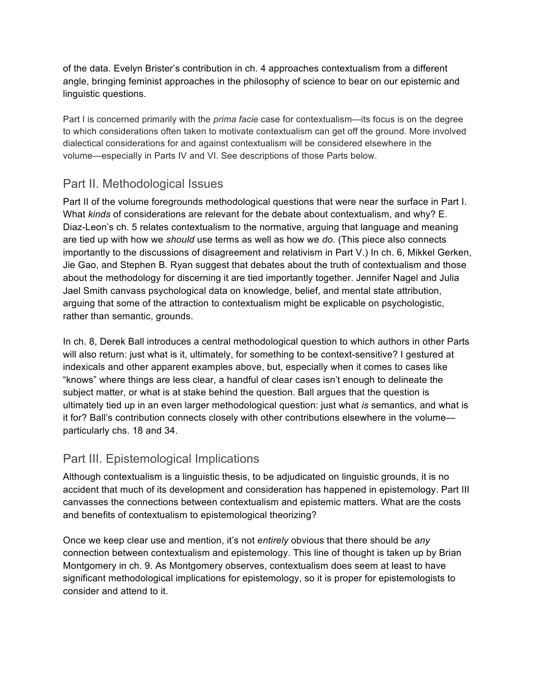of the data. Evelyn Brister's contribution in ch. 4 approaches contextualism from a different angle, bringing feminist approaches in the philosophy of science to bear on our epistemic and linguistic questions.

Part I is concerned primarily with the *prima facie* case for contextualism—its focus is on the degree to which considerations often taken to motivate contextualism can get off the ground. More involved dialectical considerations for and against contextualism will be considered elsewhere in the volume—especially in Parts IV and VI. See descriptions of those Parts below.

### Part II. Methodological Issues

Part II of the volume foregrounds methodological questions that were near the surface in Part I. What *kinds* of considerations are relevant for the debate about contextualism, and why? E. Diaz-Leon's ch. 5 relates contextualism to the normative, arguing that language and meaning are tied up with how we *should* use terms as well as how we *do*. (This piece also connects importantly to the discussions of disagreement and relativism in Part V.) In ch. 6, Mikkel Gerken, Jie Gao, and Stephen B. Ryan suggest that debates about the truth of contextualism and those about the methodology for discerning it are tied importantly together. Jennifer Nagel and Julia Jael Smith canvass psychological data on knowledge, belief, and mental state attribution, arguing that some of the attraction to contextualism might be explicable on psychologistic, rather than semantic, grounds.

In ch. 8, Derek Ball introduces a central methodological question to which authors in other Parts will also return: just what is it, ultimately, for something to be context-sensitive? I gestured at indexicals and other apparent examples above, but, especially when it comes to cases like "knows" where things are less clear, a handful of clear cases isn't enough to delineate the subject matter, or what is at stake behind the question. Ball argues that the question is ultimately tied up in an even larger methodological question: just what *is* semantics, and what is it for? Ball's contribution connects closely with other contributions elsewhere in the volume particularly chs. 18 and 34.

#### Part III. Epistemological Implications

Although contextualism is a linguistic thesis, to be adjudicated on linguistic grounds, it is no accident that much of its development and consideration has happened in epistemology. Part III canvasses the connections between contextualism and epistemic matters. What are the costs and benefits of contextualism to epistemological theorizing?

Once we keep clear use and mention, it's not *entirely* obvious that there should be *any*  connection between contextualism and epistemology. This line of thought is taken up by Brian Montgomery in ch. 9. As Montgomery observes, contextualism does seem at least to have significant methodological implications for epistemology, so it is proper for epistemologists to consider and attend to it.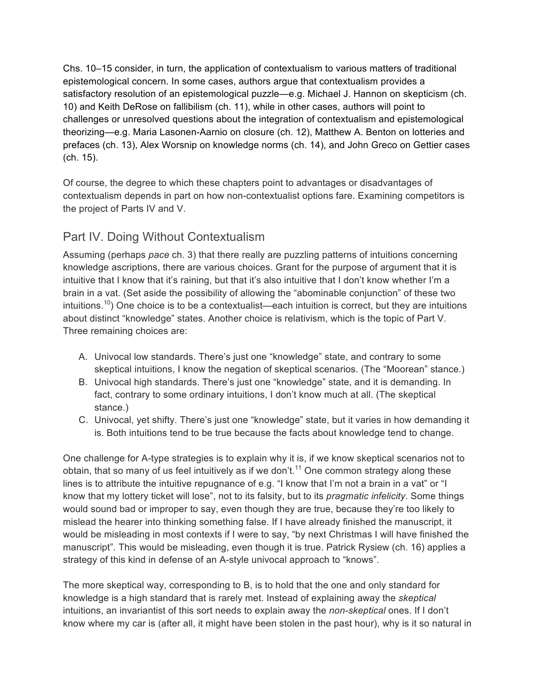Chs. 10–15 consider, in turn, the application of contextualism to various matters of traditional epistemological concern. In some cases, authors argue that contextualism provides a satisfactory resolution of an epistemological puzzle—e.g. Michael J. Hannon on skepticism (ch. 10) and Keith DeRose on fallibilism (ch. 11), while in other cases, authors will point to challenges or unresolved questions about the integration of contextualism and epistemological theorizing—e.g. Maria Lasonen-Aarnio on closure (ch. 12), Matthew A. Benton on lotteries and prefaces (ch. 13), Alex Worsnip on knowledge norms (ch. 14), and John Greco on Gettier cases (ch. 15).

Of course, the degree to which these chapters point to advantages or disadvantages of contextualism depends in part on how non-contextualist options fare. Examining competitors is the project of Parts IV and V.

## Part IV. Doing Without Contextualism

Assuming (perhaps *pace* ch. 3) that there really are puzzling patterns of intuitions concerning knowledge ascriptions, there are various choices. Grant for the purpose of argument that it is intuitive that I know that it's raining, but that it's also intuitive that I don't know whether I'm a brain in a vat. (Set aside the possibility of allowing the "abominable conjunction" of these two intuitions.<sup>10</sup>) One choice is to be a contextualist—each intuition is correct, but they are intuitions about distinct "knowledge" states. Another choice is relativism, which is the topic of Part V. Three remaining choices are:

- A. Univocal low standards. There's just one "knowledge" state, and contrary to some skeptical intuitions, I know the negation of skeptical scenarios. (The "Moorean" stance.)
- B. Univocal high standards. There's just one "knowledge" state, and it is demanding. In fact, contrary to some ordinary intuitions, I don't know much at all. (The skeptical stance.)
- C. Univocal, yet shifty. There's just one "knowledge" state, but it varies in how demanding it is. Both intuitions tend to be true because the facts about knowledge tend to change.

One challenge for A-type strategies is to explain why it is, if we know skeptical scenarios not to obtain, that so many of us feel intuitively as if we don't.<sup>11</sup> One common strategy along these lines is to attribute the intuitive repugnance of e.g. "I know that I'm not a brain in a vat" or "I know that my lottery ticket will lose", not to its falsity, but to its *pragmatic infelicity*. Some things would sound bad or improper to say, even though they are true, because they're too likely to mislead the hearer into thinking something false. If I have already finished the manuscript, it would be misleading in most contexts if I were to say, "by next Christmas I will have finished the manuscript". This would be misleading, even though it is true. Patrick Rysiew (ch. 16) applies a strategy of this kind in defense of an A-style univocal approach to "knows".

The more skeptical way, corresponding to B, is to hold that the one and only standard for knowledge is a high standard that is rarely met. Instead of explaining away the *skeptical*  intuitions, an invariantist of this sort needs to explain away the *non-skeptical* ones. If I don't know where my car is (after all, it might have been stolen in the past hour), why is it so natural in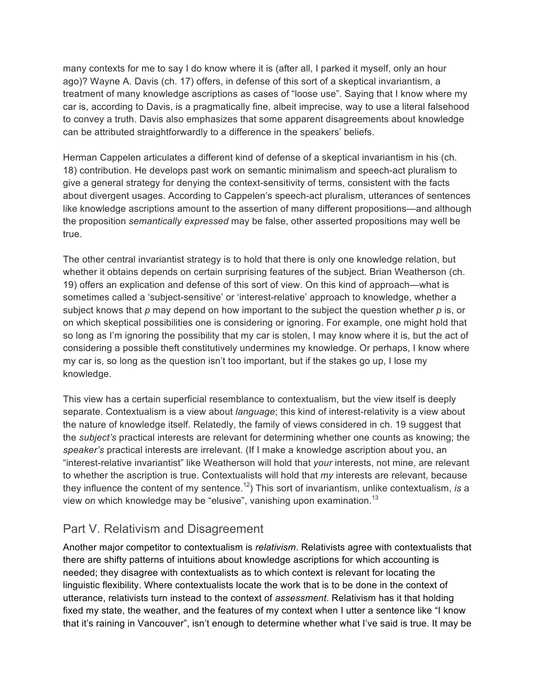many contexts for me to say I do know where it is (after all, I parked it myself, only an hour ago)? Wayne A. Davis (ch. 17) offers, in defense of this sort of a skeptical invariantism, a treatment of many knowledge ascriptions as cases of "loose use". Saying that I know where my car is, according to Davis, is a pragmatically fine, albeit imprecise, way to use a literal falsehood to convey a truth. Davis also emphasizes that some apparent disagreements about knowledge can be attributed straightforwardly to a difference in the speakers' beliefs.

Herman Cappelen articulates a different kind of defense of a skeptical invariantism in his (ch. 18) contribution. He develops past work on semantic minimalism and speech-act pluralism to give a general strategy for denying the context-sensitivity of terms, consistent with the facts about divergent usages. According to Cappelen's speech-act pluralism, utterances of sentences like knowledge ascriptions amount to the assertion of many different propositions—and although the proposition *semantically expressed* may be false, other asserted propositions may well be true.

The other central invariantist strategy is to hold that there is only one knowledge relation, but whether it obtains depends on certain surprising features of the subject. Brian Weatherson (ch. 19) offers an explication and defense of this sort of view. On this kind of approach—what is sometimes called a 'subject-sensitive' or 'interest-relative' approach to knowledge, whether a subject knows that *p* may depend on how important to the subject the question whether *p* is, or on which skeptical possibilities one is considering or ignoring. For example, one might hold that so long as I'm ignoring the possibility that my car is stolen, I may know where it is, but the act of considering a possible theft constitutively undermines my knowledge. Or perhaps, I know where my car is, so long as the question isn't too important, but if the stakes go up, I lose my knowledge.

This view has a certain superficial resemblance to contextualism, but the view itself is deeply separate. Contextualism is a view about *language*; this kind of interest-relativity is a view about the nature of knowledge itself. Relatedly, the family of views considered in ch. 19 suggest that the *subject's* practical interests are relevant for determining whether one counts as knowing; the *speaker's* practical interests are irrelevant. (If I make a knowledge ascription about you, an "interest-relative invariantist" like Weatherson will hold that *your* interests, not mine, are relevant to whether the ascription is true. Contextualists will hold that *my* interests are relevant, because they influence the content of my sentence.12) This sort of invariantism, unlike contextualism, *is* a view on which knowledge may be "elusive", vanishing upon examination.<sup>13</sup>

### Part V. Relativism and Disagreement

Another major competitor to contextualism is *relativism*. Relativists agree with contextualists that there are shifty patterns of intuitions about knowledge ascriptions for which accounting is needed; they disagree with contextualists as to which context is relevant for locating the linguistic flexibility. Where contextualists locate the work that is to be done in the context of utterance, relativists turn instead to the context of *assessment*. Relativism has it that holding fixed my state, the weather, and the features of my context when I utter a sentence like "I know that it's raining in Vancouver", isn't enough to determine whether what I've said is true. It may be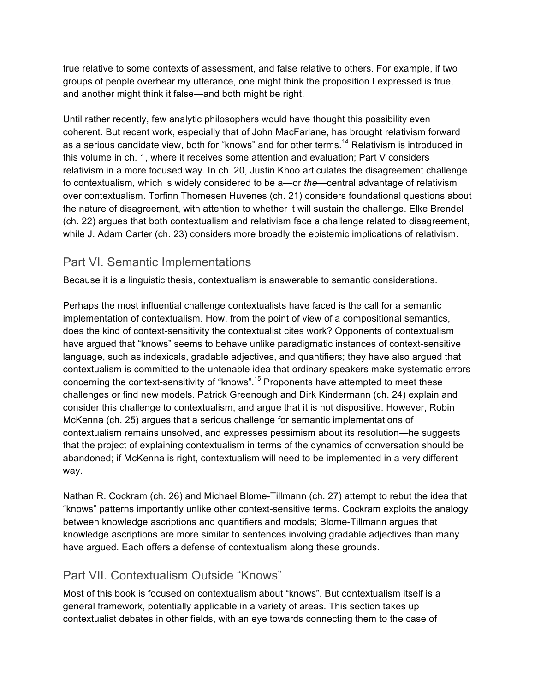true relative to some contexts of assessment, and false relative to others. For example, if two groups of people overhear my utterance, one might think the proposition I expressed is true, and another might think it false—and both might be right.

Until rather recently, few analytic philosophers would have thought this possibility even coherent. But recent work, especially that of John MacFarlane, has brought relativism forward as a serious candidate view, both for "knows" and for other terms.<sup>14</sup> Relativism is introduced in this volume in ch. 1, where it receives some attention and evaluation; Part V considers relativism in a more focused way. In ch. 20, Justin Khoo articulates the disagreement challenge to contextualism, which is widely considered to be a—or *the*—central advantage of relativism over contextualism. Torfinn Thomesen Huvenes (ch. 21) considers foundational questions about the nature of disagreement, with attention to whether it will sustain the challenge. Elke Brendel (ch. 22) argues that both contextualism and relativism face a challenge related to disagreement, while J. Adam Carter (ch. 23) considers more broadly the epistemic implications of relativism.

## Part VI. Semantic Implementations

Because it is a linguistic thesis, contextualism is answerable to semantic considerations.

Perhaps the most influential challenge contextualists have faced is the call for a semantic implementation of contextualism. How, from the point of view of a compositional semantics, does the kind of context-sensitivity the contextualist cites work? Opponents of contextualism have argued that "knows" seems to behave unlike paradigmatic instances of context-sensitive language, such as indexicals, gradable adjectives, and quantifiers; they have also argued that contextualism is committed to the untenable idea that ordinary speakers make systematic errors concerning the context-sensitivity of "knows".<sup>15</sup> Proponents have attempted to meet these challenges or find new models. Patrick Greenough and Dirk Kindermann (ch. 24) explain and consider this challenge to contextualism, and argue that it is not dispositive. However, Robin McKenna (ch. 25) argues that a serious challenge for semantic implementations of contextualism remains unsolved, and expresses pessimism about its resolution—he suggests that the project of explaining contextualism in terms of the dynamics of conversation should be abandoned; if McKenna is right, contextualism will need to be implemented in a very different way.

Nathan R. Cockram (ch. 26) and Michael Blome-Tillmann (ch. 27) attempt to rebut the idea that "knows" patterns importantly unlike other context-sensitive terms. Cockram exploits the analogy between knowledge ascriptions and quantifiers and modals; Blome-Tillmann argues that knowledge ascriptions are more similar to sentences involving gradable adjectives than many have argued. Each offers a defense of contextualism along these grounds.

### Part VII. Contextualism Outside "Knows"

Most of this book is focused on contextualism about "knows". But contextualism itself is a general framework, potentially applicable in a variety of areas. This section takes up contextualist debates in other fields, with an eye towards connecting them to the case of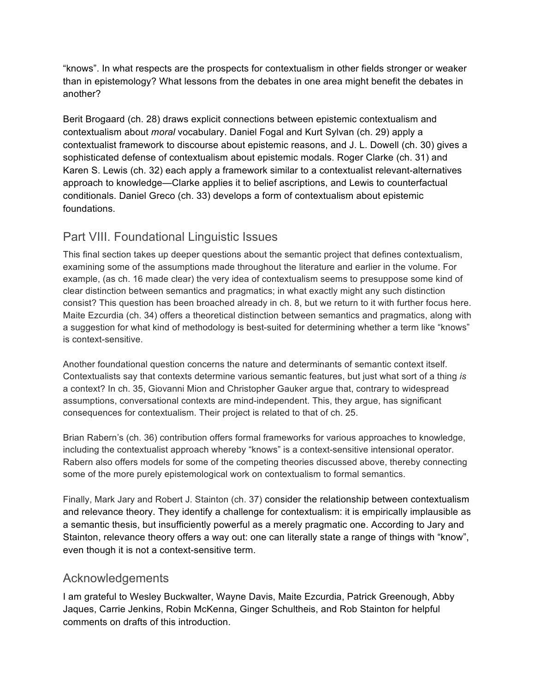"knows". In what respects are the prospects for contextualism in other fields stronger or weaker than in epistemology? What lessons from the debates in one area might benefit the debates in another?

Berit Brogaard (ch. 28) draws explicit connections between epistemic contextualism and contextualism about *moral* vocabulary. Daniel Fogal and Kurt Sylvan (ch. 29) apply a contextualist framework to discourse about epistemic reasons, and J. L. Dowell (ch. 30) gives a sophisticated defense of contextualism about epistemic modals. Roger Clarke (ch. 31) and Karen S. Lewis (ch. 32) each apply a framework similar to a contextualist relevant-alternatives approach to knowledge—Clarke applies it to belief ascriptions, and Lewis to counterfactual conditionals. Daniel Greco (ch. 33) develops a form of contextualism about epistemic foundations.

# Part VIII. Foundational Linguistic Issues

This final section takes up deeper questions about the semantic project that defines contextualism, examining some of the assumptions made throughout the literature and earlier in the volume. For example, (as ch. 16 made clear) the very idea of contextualism seems to presuppose some kind of clear distinction between semantics and pragmatics; in what exactly might any such distinction consist? This question has been broached already in ch. 8, but we return to it with further focus here. Maite Ezcurdia (ch. 34) offers a theoretical distinction between semantics and pragmatics, along with a suggestion for what kind of methodology is best-suited for determining whether a term like "knows" is context-sensitive.

Another foundational question concerns the nature and determinants of semantic context itself. Contextualists say that contexts determine various semantic features, but just what sort of a thing *is*  a context? In ch. 35, Giovanni Mion and Christopher Gauker argue that, contrary to widespread assumptions, conversational contexts are mind-independent. This, they argue, has significant consequences for contextualism. Their project is related to that of ch. 25.

Brian Rabern's (ch. 36) contribution offers formal frameworks for various approaches to knowledge, including the contextualist approach whereby "knows" is a context-sensitive intensional operator. Rabern also offers models for some of the competing theories discussed above, thereby connecting some of the more purely epistemological work on contextualism to formal semantics.

Finally, Mark Jary and Robert J. Stainton (ch. 37) consider the relationship between contextualism and relevance theory. They identify a challenge for contextualism: it is empirically implausible as a semantic thesis, but insufficiently powerful as a merely pragmatic one. According to Jary and Stainton, relevance theory offers a way out: one can literally state a range of things with "know", even though it is not a context-sensitive term.

#### Acknowledgements

I am grateful to Wesley Buckwalter, Wayne Davis, Maite Ezcurdia, Patrick Greenough, Abby Jaques, Carrie Jenkins, Robin McKenna, Ginger Schultheis, and Rob Stainton for helpful comments on drafts of this introduction.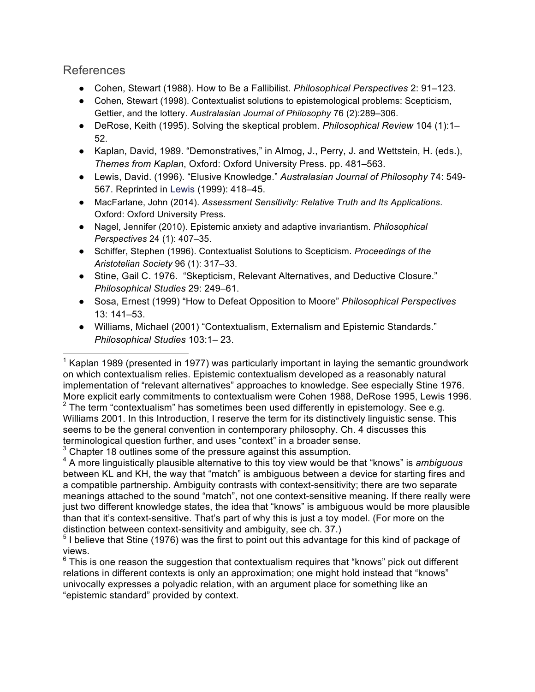#### References

- Cohen, Stewart (1988). How to Be a Fallibilist. *Philosophical Perspectives* 2: 91–123.
- Cohen, Stewart (1998). Contextualist solutions to epistemological problems: Scepticism, Gettier, and the lottery. *Australasian Journal of Philosophy* 76 (2):289–306.
- DeRose, Keith (1995). Solving the skeptical problem. *Philosophical Review* 104 (1):1– 52.
- Kaplan, David, 1989. "Demonstratives," in Almog, J., Perry, J. and Wettstein, H. (eds.), *Themes from Kaplan*, Oxford: Oxford University Press. pp. 481–563.
- Lewis, David. (1996). "Elusive Knowledge." *Australasian Journal of Philosophy* 74: 549- 567. Reprinted in Lewis (1999): 418–45.
- MacFarlane, John (2014). *Assessment Sensitivity: Relative Truth and Its Applications*. Oxford: Oxford University Press.
- Nagel, Jennifer (2010). Epistemic anxiety and adaptive invariantism. *Philosophical Perspectives* 24 (1): 407–35.
- Schiffer, Stephen (1996). Contextualist Solutions to Scepticism. *Proceedings of the Aristotelian Society* 96 (1): 317–33.
- Stine, Gail C. 1976. "Skepticism, Relevant Alternatives, and Deductive Closure." *Philosophical Studies* 29: 249–61.
- Sosa, Ernest (1999) "How to Defeat Opposition to Moore" *Philosophical Perspectives*  $13: 141 - 53$
- Williams, Michael (2001) "Contextualism, Externalism and Epistemic Standards." *Philosophical Studies* 103:1– 23.

 $3$  Chapter 18 outlines some of the pressure against this assumption.

<sup>4</sup> A more linguistically plausible alternative to this toy view would be that "knows" is *ambiguous* between KL and KH, the way that "match" is ambiguous between a device for starting fires and a compatible partnership. Ambiguity contrasts with context-sensitivity; there are two separate meanings attached to the sound "match", not one context-sensitive meaning. If there really were just two different knowledge states, the idea that "knows" is ambiguous would be more plausible than that it's context-sensitive. That's part of why this is just a toy model. (For more on the distinction between context-sensitivity and ambiguity, see ch. 37.)

<sup>&</sup>lt;sup>1</sup> Kaplan 1989 (presented in 1977) was particularly important in laying the semantic groundwork on which contextualism relies. Epistemic contextualism developed as a reasonably natural implementation of "relevant alternatives" approaches to knowledge. See especially Stine 1976. More explicit early commitments to contextualism were Cohen 1988, DeRose 1995, Lewis 1996.  $2$  The term "contextualism" has sometimes been used differently in epistemology. See e.g. Williams 2001. In this Introduction, I reserve the term for its distinctively linguistic sense. This seems to be the general convention in contemporary philosophy. Ch. 4 discusses this terminological question further, and uses "context" in a broader sense.

<sup>&</sup>lt;sup>5</sup> I believe that Stine (1976) was the first to point out this advantage for this kind of package of views.

 $6$  This is one reason the suggestion that contextualism requires that "knows" pick out different relations in different contexts is only an approximation; one might hold instead that "knows" univocally expresses a polyadic relation, with an argument place for something like an "epistemic standard" provided by context.